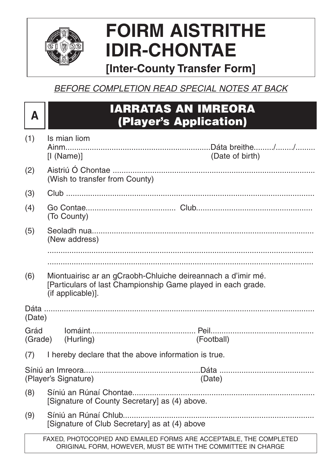

# **FOIRM AISTRITHE IDIR-CHONTAE**

# **[Inter-County Transfer Form]**

BEFORE COMPLETION READ SPECIAL NOTES AT BACK

# **<sup>A</sup> IARRATAS AN IMREORA (Player's Application)**

| (1)    | Is mian liom                                                             |                                                                                                                                    |
|--------|--------------------------------------------------------------------------|------------------------------------------------------------------------------------------------------------------------------------|
|        | [1 (Name)]                                                               | (Date of birth)                                                                                                                    |
| (2)    | (Wish to transfer from County)                                           |                                                                                                                                    |
| (3)    |                                                                          |                                                                                                                                    |
| (4)    | (To County)                                                              |                                                                                                                                    |
| (5)    | (New address)                                                            |                                                                                                                                    |
|        |                                                                          |                                                                                                                                    |
|        |                                                                          |                                                                                                                                    |
| (6)    | (if applicable)].                                                        | Miontuairisc ar an gCraobh-Chluiche deireannach a d'imir mé.<br>[Particulars of last Championship Game played in each grade.       |
| (Date) |                                                                          |                                                                                                                                    |
| Grád   | (Grade) (Hurling)                                                        | (Football)                                                                                                                         |
| (7)    | I hereby declare that the above information is true.                     |                                                                                                                                    |
|        | (Player's Signature) (Date)                                              |                                                                                                                                    |
| (8)    | Síniú an Rúnaí Chontae.<br>[Signature of County Secretary] as (4) above. |                                                                                                                                    |
| (9)    | [Signature of Club Secretary] as at (4) above                            |                                                                                                                                    |
|        |                                                                          | FAXED, PHOTOCOPIED AND EMAILED FORMS ARE ACCEPTABLE, THE COMPLETED<br>ORIGINAL FORM, HOWEVER, MUST BE WITH THE COMMITTEE IN CHARGE |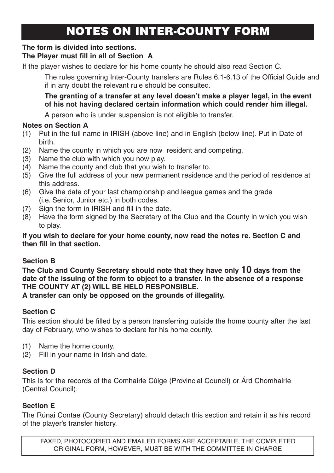# NOTES ON INTER-COUNTY FORM

### **The form is divided into sections.**

### **The Player must fill in all of Section A**

If the player wishes to declare for his home county he should also read Section C.

The rules governing Inter-County transfers are Rules 6.1-6.13 of the Official Guide and if in any doubt the relevant rule should be consulted.

#### **The granting of a transfer at any level doesn't make a player legal, in the event of his not having declared certain information which could render him illegal.**

A person who is under suspension is not eligible to transfer.

#### **Notes on Section A**

- (1) Put in the full name in IRISH (above line) and in English (below line). Put in Date of birth.
- (2) Name the county in which you are now resident and competing.
- (3) Name the club with which you now play.
- (4) Name the county and club that you wish to transfer to.
- (5) Give the full address of your new permanent residence and the period of residence at this address.
- (6) Give the date of your last championship and league games and the grade (i.e. Senior, Junior etc.) in both codes.
- (7) Sign the form in IRISH and fill in the date.
- (8) Have the form signed by the Secretary of the Club and the County in which you wish to play.

#### **If you wish to declare for your home county, now read the notes re. Section C and then fill in that section.**

### **Section B**

**The Club and County Secretary should note that they have only 10 days from the date of the issuing of the form to object to a transfer. In the absence of a response THE COUNTY AT (2) WILL BE HELD RESPONSIBLE.**

**A transfer can only be opposed on the grounds of illegality.**

## **Section C**

This section should be filled by a person transferring outside the home county after the last day of February, who wishes to declare for his home county.

- (1) Name the home county.
- (2) Fill in your name in Irish and date.

### **Section D**

This is for the records of the Comhairle Cúige (Provincial Council) or Árd Chomhairle (Central Council).

### **Section E**

The Rúnai Contae (County Secretary) should detach this section and retain it as his record of the player's transfer history.

FAXED, PHOTOCOPIED AND EMAILED FORMS ARE ACCEPTABLE, THE COMPLETED ORIGINAL FORM, HOWEVER, MUST BE WITH THE COMMITTEE IN CHARGE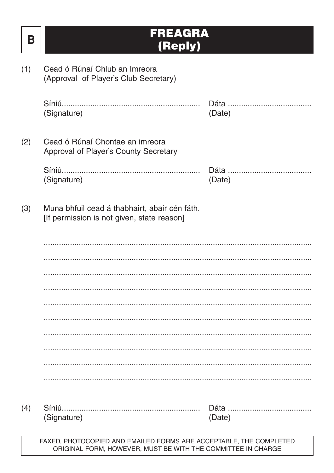| Β   | FREAGRA<br>(Reply)                                                                                                                 |        |
|-----|------------------------------------------------------------------------------------------------------------------------------------|--------|
| (1) | Cead ó Rúnaí Chlub an Imreora<br>(Approval of Player's Club Secretary)                                                             |        |
|     | (Signature)                                                                                                                        | (Date) |
| (2) | Cead ó Rúnaí Chontae an imreora<br>Approval of Player's County Secretary                                                           |        |
|     | (Signature)                                                                                                                        | (Date) |
| (3) | Muna bhfuil cead á thabhairt, abair cén fáth.<br>[If permission is not given, state reason]                                        |        |
|     |                                                                                                                                    |        |
|     |                                                                                                                                    |        |
|     |                                                                                                                                    |        |
|     |                                                                                                                                    |        |
|     |                                                                                                                                    |        |
|     |                                                                                                                                    |        |
|     |                                                                                                                                    |        |
|     |                                                                                                                                    |        |
| (4) | Síniú<br>(Signature)                                                                                                               | (Date) |
|     | FAXED, PHOTOCOPIED AND EMAILED FORMS ARE ACCEPTABLE, THE COMPLETED<br>ORIGINAL FORM, HOWEVER, MUST BE WITH THE COMMITTEE IN CHARGE |        |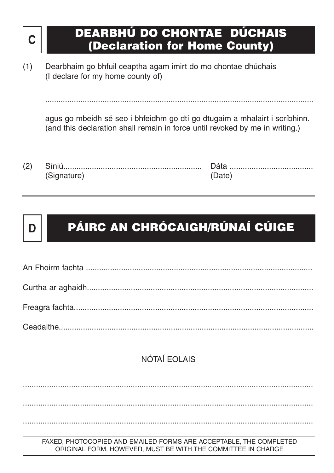# **<sup>C</sup> DEARBHÚ DO CHONTAE DÚCHAIS (Declaration for Home County)**

(1) Dearbhaim go bhfuil ceaptha agam imirt do mo chontae dhúchais (I declare for my home county of)

agus go mbeidh sé seo i bhfeidhm go dtí go dtugaim a mhalairt i scríbhinn. (and this declaration shall remain in force until revoked by me in writing.)

..........................................................................................................................

(2) Síniú............................................................... Dáta ...................................... (Signature) (Date)

NÓTAÍ EOLAIS

....................................................................................................................................

....................................................................................................................................

....................................................................................................................................

FAXED, PHOTOCOPIED AND EMAILED FORMS ARE ACCEPTABLE, THE COMPLETED ORIGINAL FORM, HOWEVER, MUST BE WITH THE COMMITTEE IN CHARGE